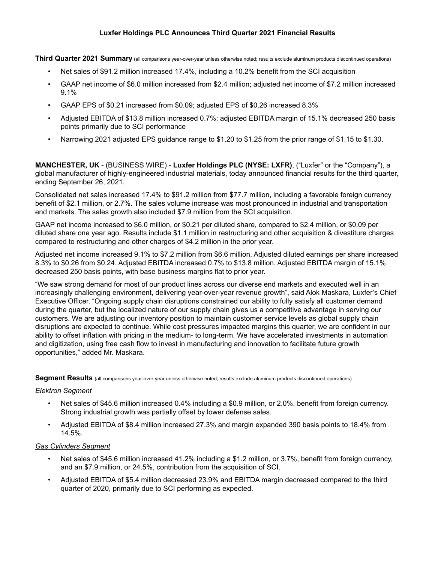## **Luxfer Holdings PLC Announces Third Quarter 2021 Financial Results**

Third Quarter 2021 Summary (all comparisons year-over-year unless otherwise noted; results exclude aluminum products discontinued operations)

- Net sales of \$91.2 million increased 17.4%, including a 10.2% benefit from the SCI acquisition
- GAAP net income of \$6.0 million increased from \$2.4 million; adjusted net income of \$7.2 million increased 9.1%
- GAAP EPS of \$0.21 increased from \$0.09; adjusted EPS of \$0.26 increased 8.3%
- Adjusted EBITDA of \$13.8 million increased 0.7%; adjusted EBITDA margin of 15.1% decreased 250 basis points primarily due to SCI performance
- Narrowing 2021 adjusted EPS guidance range to \$1.20 to \$1.25 from the prior range of \$1.15 to \$1.30.

**MANCHESTER, UK** - (BUSINESS WIRE) - **Luxfer Holdings PLC (NYSE: LXFR)**, ("Luxfer" or the "Company"), a global manufacturer of highly-engineered industrial materials, today announced financial results for the third quarter, ending September 26, 2021.

Consolidated net sales increased 17.4% to \$91.2 million from \$77.7 million, including a favorable foreign currency benefit of \$2.1 million, or 2.7%. The sales volume increase was most pronounced in industrial and transportation end markets. The sales growth also included \$7.9 million from the SCI acquisition.

GAAP net income increased to \$6.0 million, or \$0.21 per diluted share, compared to \$2.4 million, or \$0.09 per diluted share one year ago. Results include \$1.1 million in restructuring and other acquisition & divestiture charges compared to restructuring and other charges of \$4.2 million in the prior year.

Adjusted net income increased 9.1% to \$7.2 million from \$6.6 million. Adjusted diluted earnings per share increased 8.3% to \$0.26 from \$0.24. Adjusted EBITDA increased 0.7% to \$13.8 million. Adjusted EBITDA margin of 15.1% decreased 250 basis points, with base business margins flat to prior year.

"We saw strong demand for most of our product lines across our diverse end markets and executed well in an increasingly challenging environment, delivering year-over-year revenue growth", said Alok Maskara, Luxfer's Chief Executive Officer. "Ongoing supply chain disruptions constrained our ability to fully satisfy all customer demand during the quarter, but the localized nature of our supply chain gives us a competitive advantage in serving our customers. We are adjusting our inventory position to maintain customer service levels as global supply chain disruptions are expected to continue. While cost pressures impacted margins this quarter, we are confident in our ability to offset inflation with pricing in the medium- to long-term. We have accelerated investments in automation and digitization, using free cash flow to invest in manufacturing and innovation to facilitate future growth opportunities," added Mr. Maskara.

**Segment Results** (all comparisons year-over-year unless otherwise noted; results exclude aluminum products discontinued operations)

#### *Elektron Segment*

- Net sales of \$45.6 million increased 0.4% including a \$0.9 million, or 2.0%, benefit from foreign currency. Strong industrial growth was partially offset by lower defense sales.
- Adjusted EBITDA of \$8.4 million increased 27.3% and margin expanded 390 basis points to 18.4% from 14.5%.

#### *Gas Cylinders Segment*

- Net sales of \$45.6 million increased 41.2% including a \$1.2 million, or 3.7%, benefit from foreign currency, and an \$7.9 million, or 24.5%, contribution from the acquisition of SCI.
- Adjusted EBITDA of \$5.4 million decreased 23.9% and EBITDA margin decreased compared to the third quarter of 2020, primarily due to SCI performing as expected.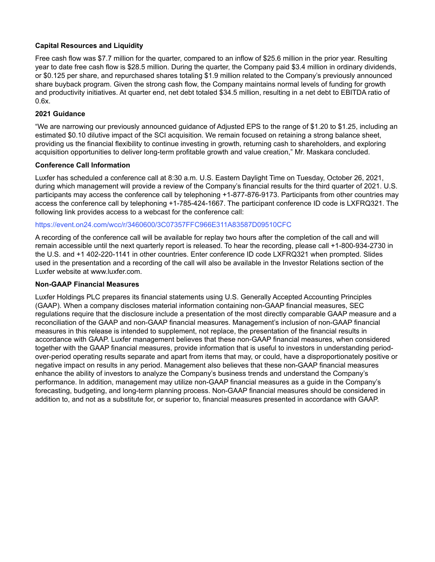## **Capital Resources and Liquidity**

Free cash flow was \$7.7 million for the quarter, compared to an inflow of \$25.6 million in the prior year. Resulting year to date free cash flow is \$28.5 million. During the quarter, the Company paid \$3.4 million in ordinary dividends, or \$0.125 per share, and repurchased shares totaling \$1.9 million related to the Company's previously announced share buyback program. Given the strong cash flow, the Company maintains normal levels of funding for growth and productivity initiatives. At quarter end, net debt totaled \$34.5 million, resulting in a net debt to EBITDA ratio of 0.6x.

### **2021 Guidance**

"We are narrowing our previously announced guidance of Adjusted EPS to the range of \$1.20 to \$1.25, including an estimated \$0.10 dilutive impact of the SCI acquisition. We remain focused on retaining a strong balance sheet, providing us the financial flexibility to continue investing in growth, returning cash to shareholders, and exploring acquisition opportunities to deliver long-term profitable growth and value creation," Mr. Maskara concluded.

### **Conference Call Information**

Luxfer has scheduled a conference call at 8:30 a.m. U.S. Eastern Daylight Time on Tuesday, October 26, 2021, during which management will provide a review of the Company's financial results for the third quarter of 2021. U.S. participants may access the conference call by telephoning +1-877-876-9173. Participants from other countries may access the conference call by telephoning +1-785-424-1667. The participant conference ID code is LXFRQ321. The following link provides access to a webcast for the conference call:

#### https://event.on24.com/wcc/r/3460600/3C07357FFC966E311A83587D09510CFC

A recording of the conference call will be available for replay two hours after the completion of the call and will remain accessible until the next quarterly report is released. To hear the recording, please call +1-800-934-2730 in the U.S. and +1 402-220-1141 in other countries. Enter conference ID code LXFRQ321 when prompted. Slides used in the presentation and a recording of the call will also be available in the Investor Relations section of the Luxfer website at www.luxfer.com.

#### **Non-GAAP Financial Measures**

Luxfer Holdings PLC prepares its financial statements using U.S. Generally Accepted Accounting Principles (GAAP). When a company discloses material information containing non-GAAP financial measures, SEC regulations require that the disclosure include a presentation of the most directly comparable GAAP measure and a reconciliation of the GAAP and non-GAAP financial measures. Management's inclusion of non-GAAP financial measures in this release is intended to supplement, not replace, the presentation of the financial results in accordance with GAAP. Luxfer management believes that these non-GAAP financial measures, when considered together with the GAAP financial measures, provide information that is useful to investors in understanding periodover-period operating results separate and apart from items that may, or could, have a disproportionately positive or negative impact on results in any period. Management also believes that these non-GAAP financial measures enhance the ability of investors to analyze the Company's business trends and understand the Company's performance. In addition, management may utilize non-GAAP financial measures as a guide in the Company's forecasting, budgeting, and long-term planning process. Non-GAAP financial measures should be considered in addition to, and not as a substitute for, or superior to, financial measures presented in accordance with GAAP.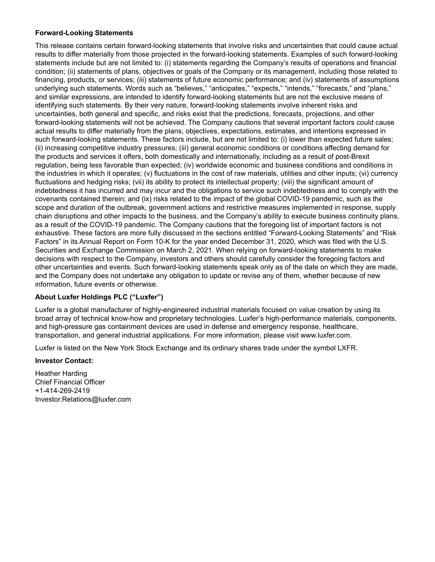## **Forward-Looking Statements**

This release contains certain forward-looking statements that involve risks and uncertainties that could cause actual results to differ materially from those projected in the forward-looking statements. Examples of such forward-looking statements include but are not limited to: (i) statements regarding the Company's results of operations and financial condition; (ii) statements of plans, objectives or goals of the Company or its management, including those related to financing, products, or services; (iii) statements of future economic performance; and (iv) statements of assumptions underlying such statements. Words such as "believes," "anticipates," "expects," "intends," "forecasts," and "plans," and similar expressions, are intended to identify forward-looking statements but are not the exclusive means of identifying such statements. By their very nature, forward-looking statements involve inherent risks and uncertainties, both general and specific, and risks exist that the predictions, forecasts, projections, and other forward-looking statements will not be achieved. The Company cautions that several important factors could cause actual results to differ materially from the plans, objectives, expectations, estimates, and intentions expressed in such forward-looking statements. These factors include, but are not limited to: (i) lower than expected future sales; (ii) increasing competitive industry pressures; (iii) general economic conditions or conditions affecting demand for the products and services it offers, both domestically and internationally, including as a result of post-Brexit regulation, being less favorable than expected; (iv) worldwide economic and business conditions and conditions in the industries in which it operates; (v) fluctuations in the cost of raw materials, utilities and other inputs; (vi) currency fluctuations and hedging risks; (vii) its ability to protect its intellectual property; (viii) the significant amount of indebtedness it has incurred and may incur and the obligations to service such indebtedness and to comply with the covenants contained therein; and (ix) risks related to the impact of the global COVID-19 pandemic, such as the scope and duration of the outbreak, government actions and restrictive measures implemented in response, supply chain disruptions and other impacts to the business, and the Company's ability to execute business continuity plans, as a result of the COVID-19 pandemic. The Company cautions that the foregoing list of important factors is not exhaustive. These factors are more fully discussed in the sections entitled "Forward-Looking Statements" and "Risk Factors" in its Annual Report on Form 10-K for the year ended December 31, 2020, which was filed with the U.S. Securities and Exchange Commission on March 2, 2021. When relying on forward-looking statements to make decisions with respect to the Company, investors and others should carefully consider the foregoing factors and other uncertainties and events. Such forward-looking statements speak only as of the date on which they are made, and the Company does not undertake any obligation to update or revise any of them, whether because of new information, future events or otherwise.

## **About Luxfer Holdings PLC ("Luxfer")**

Luxfer is a global manufacturer of highly-engineered industrial materials focused on value creation by using its broad array of technical know-how and proprietary technologies. Luxfer's high-performance materials, components, and high-pressure gas containment devices are used in defense and emergency response, healthcare, transportation, and general industrial applications. For more information, please visit www.luxfer.com.

Luxfer is listed on the New York Stock Exchange and its ordinary shares trade under the symbol LXFR.

#### **Investor Contact:**

Heather Harding Chief Financial Officer +1-414-269-2419 Investor.Relations@luxfer.com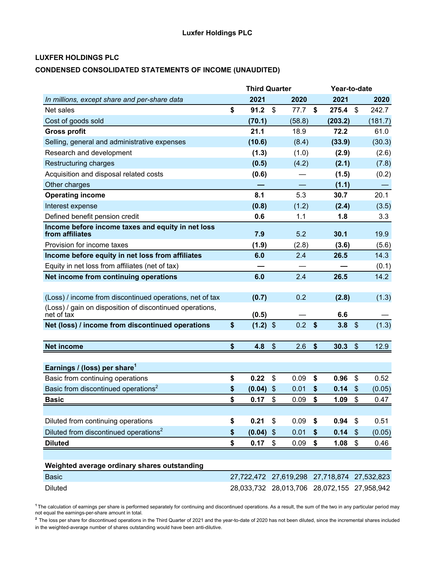## **CONDENSED CONSOLIDATED STATEMENTS OF INCOME (UNAUDITED)**

|                                                                              | <b>Third Quarter</b>                        |                           |        | Year-to-date |                           |                       |
|------------------------------------------------------------------------------|---------------------------------------------|---------------------------|--------|--------------|---------------------------|-----------------------|
| In millions, except share and per-share data                                 | 2021                                        |                           | 2020   | 2021         |                           | 2020                  |
| Net sales                                                                    | \$<br>91.2                                  | \$                        | 77.7   | \$<br>275.4  | $\boldsymbol{\mathsf{S}}$ | 242.7                 |
| Cost of goods sold                                                           | (70.1)                                      |                           | (58.8) | (203.2)      |                           | (181.7)               |
| <b>Gross profit</b>                                                          | 21.1                                        |                           | 18.9   | 72.2         |                           | 61.0                  |
| Selling, general and administrative expenses                                 | (10.6)                                      |                           | (8.4)  | (33.9)       |                           | (30.3)                |
| Research and development                                                     | (1.3)                                       |                           | (1.0)  | (2.9)        |                           | (2.6)                 |
| Restructuring charges                                                        | (0.5)                                       |                           | (4.2)  | (2.1)        |                           | (7.8)                 |
| Acquisition and disposal related costs                                       | (0.6)                                       |                           |        | (1.5)        |                           | (0.2)                 |
| Other charges                                                                |                                             |                           |        | (1.1)        |                           |                       |
| <b>Operating income</b>                                                      | 8.1                                         |                           | 5.3    | 30.7         |                           | 20.1                  |
| Interest expense                                                             | (0.8)                                       |                           | (1.2)  | (2.4)        |                           | (3.5)                 |
| Defined benefit pension credit                                               | 0.6                                         |                           | 1.1    | 1.8          |                           | 3.3                   |
| Income before income taxes and equity in net loss<br>from affiliates         | 7.9                                         |                           | 5.2    | 30.1         |                           | 19.9                  |
| Provision for income taxes                                                   | (1.9)                                       |                           | (2.8)  | (3.6)        |                           | (5.6)                 |
| Income before equity in net loss from affiliates                             | 6.0                                         |                           | 2.4    | 26.5         |                           | 14.3                  |
| Equity in net loss from affiliates (net of tax)                              |                                             |                           |        |              |                           | (0.1)                 |
| Net income from continuing operations                                        | 6.0                                         |                           | 2.4    | 26.5         |                           | 14.2                  |
| (Loss) / income from discontinued operations, net of tax                     | (0.7)                                       |                           | 0.2    | (2.8)        |                           | (1.3)                 |
| (Loss) / gain on disposition of discontinued operations,<br>net of tax       | (0.5)                                       |                           |        | 6.6          |                           |                       |
| Net (loss) / income from discontinued operations                             | \$<br>$(1.2)$ \$                            |                           | 0.2    | \$<br>3.8    | $\boldsymbol{\mathsf{S}}$ | (1.3)                 |
| <b>Net income</b>                                                            | \$<br>4.8                                   | $\boldsymbol{\mathsf{S}}$ | 2.6    | \$<br>30.3   | $\boldsymbol{\mathsf{S}}$ | 12.9                  |
|                                                                              |                                             |                           |        |              |                           |                       |
| Earnings / (loss) per share <sup>1</sup><br>Basic from continuing operations | \$<br>0.22                                  | \$                        | 0.09   | \$<br>0.96   | \$                        | 0.52                  |
| Basic from discontinued operations <sup>2</sup>                              | \$<br>(0.04)                                | $\boldsymbol{\mathsf{S}}$ | 0.01   | \$<br>0.14   | $\mathcal{S}$             | (0.05)                |
| <b>Basic</b>                                                                 | \$<br>0.17                                  | \$                        | 0.09   | \$<br>1.09   | \$                        | 0.47                  |
|                                                                              |                                             |                           |        |              |                           |                       |
| Diluted from continuing operations                                           | \$<br>0.21                                  | \$                        | 0.09   | \$<br>0.94   | \$                        | 0.51                  |
| Diluted from discontinued operations <sup>2</sup>                            | \$<br>(0.04)                                | $\boldsymbol{\mathsf{S}}$ | 0.01   | \$<br>0.14   | $\boldsymbol{\mathsf{S}}$ | (0.05)                |
| <b>Diluted</b>                                                               | \$<br>0.17                                  | $\mathbb{S}$              | 0.09   | \$<br>1.08   | \$                        | 0.46                  |
|                                                                              |                                             |                           |        |              |                           |                       |
| Weighted average ordinary shares outstanding                                 |                                             |                           |        |              |                           |                       |
| <b>Basic</b>                                                                 | 27,722,472 27,619,298                       |                           |        |              |                           | 27,718,874 27,532,823 |
| <b>Diluted</b>                                                               | 28,033,732 28,013,706 28,072,155 27,958,942 |                           |        |              |                           |                       |
|                                                                              |                                             |                           |        |              |                           |                       |

<sup>1</sup> The calculation of earnings per share is performed separately for continuing and discontinued operations. As a result, the sum of the two in any particular period may not equal the earnings-per-share amount in total.

<sup>2</sup> The loss per share for discontinued operations in the Third Quarter of 2021 and the year-to-date of 2020 has not been diluted, since the incremental shares included in the weighted-average number of shares outstanding would have been anti-dilutive.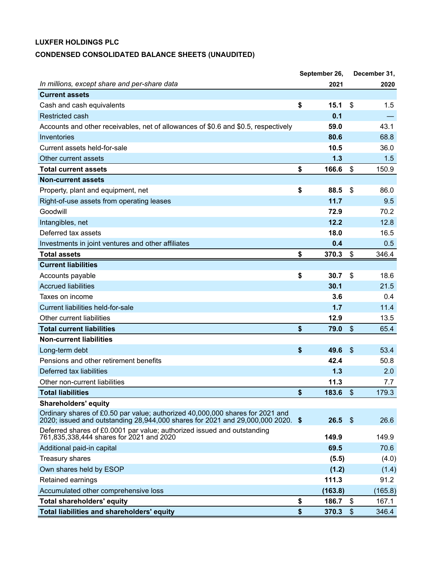# **CONDENSED CONSOLIDATED BALANCE SHEETS (UNAUDITED)**

|                                                                                                                                                                  | September 26, |                           | December 31, |
|------------------------------------------------------------------------------------------------------------------------------------------------------------------|---------------|---------------------------|--------------|
| In millions, except share and per-share data                                                                                                                     | 2021          |                           | 2020         |
| <b>Current assets</b>                                                                                                                                            |               |                           |              |
| Cash and cash equivalents                                                                                                                                        | \$<br>15.1    | \$                        | 1.5          |
| <b>Restricted cash</b>                                                                                                                                           | 0.1           |                           |              |
| Accounts and other receivables, net of allowances of \$0.6 and \$0.5, respectively                                                                               | 59.0          |                           | 43.1         |
| Inventories                                                                                                                                                      | 80.6          |                           | 68.8         |
| Current assets held-for-sale                                                                                                                                     | 10.5          |                           | 36.0         |
| Other current assets                                                                                                                                             | 1.3           |                           | 1.5          |
| <b>Total current assets</b>                                                                                                                                      | \$<br>166.6   | \$                        | 150.9        |
| <b>Non-current assets</b>                                                                                                                                        |               |                           |              |
| Property, plant and equipment, net                                                                                                                               | \$<br>88.5    | \$                        | 86.0         |
| Right-of-use assets from operating leases                                                                                                                        | 11.7          |                           | 9.5          |
| Goodwill                                                                                                                                                         | 72.9          |                           | 70.2         |
| Intangibles, net                                                                                                                                                 | 12.2          |                           | 12.8         |
| Deferred tax assets                                                                                                                                              | 18.0          |                           | 16.5         |
| Investments in joint ventures and other affiliates                                                                                                               | 0.4           |                           | 0.5          |
| <b>Total assets</b>                                                                                                                                              | \$<br>370.3   | \$                        | 346.4        |
| <b>Current liabilities</b>                                                                                                                                       |               |                           |              |
| Accounts payable                                                                                                                                                 | \$<br>30.7    | \$                        | 18.6         |
| <b>Accrued liabilities</b>                                                                                                                                       | 30.1          |                           | 21.5         |
| Taxes on income                                                                                                                                                  | 3.6           |                           | 0.4          |
| Current liabilities held-for-sale                                                                                                                                | 1.7           |                           | 11.4         |
| Other current liabilities                                                                                                                                        | 12.9          |                           | 13.5         |
| <b>Total current liabilities</b>                                                                                                                                 | \$<br>79.0    | $\mathfrak{s}$            | 65.4         |
| <b>Non-current liabilities</b>                                                                                                                                   |               |                           |              |
| Long-term debt                                                                                                                                                   | \$<br>49.6    | $\boldsymbol{\mathsf{S}}$ | 53.4         |
| Pensions and other retirement benefits                                                                                                                           | 42.4          |                           | 50.8         |
| Deferred tax liabilities                                                                                                                                         | 1.3           |                           | 2.0          |
| Other non-current liabilities                                                                                                                                    | 11.3          |                           | 7.7          |
| <b>Total liabilities</b>                                                                                                                                         | \$<br>183.6   | $\boldsymbol{\mathsf{S}}$ | 179.3        |
| <b>Shareholders' equity</b>                                                                                                                                      |               |                           |              |
| Ordinary shares of £0.50 par value; authorized 40,000,000 shares for 2021 and<br>2020; issued and outstanding 28,944,000 shares for 2021 and 29,000,000 2020. \$ | 26.5          | $\sqrt[6]{\frac{1}{2}}$   | 26.6         |
| Deferred shares of £0.0001 par value; authorized issued and outstanding<br>761,835,338,444 shares for 2021 and 2020                                              | 149.9         |                           | 149.9        |
| Additional paid-in capital                                                                                                                                       | 69.5          |                           | 70.6         |
| Treasury shares                                                                                                                                                  | (5.5)         |                           | (4.0)        |
| Own shares held by ESOP                                                                                                                                          | (1.2)         |                           | (1.4)        |
| Retained earnings                                                                                                                                                | 111.3         |                           | 91.2         |
| Accumulated other comprehensive loss                                                                                                                             | (163.8)       |                           | (165.8)      |
| <b>Total shareholders' equity</b>                                                                                                                                | \$<br>186.7   | \$                        | 167.1        |
| Total liabilities and shareholders' equity                                                                                                                       | \$<br>370.3   | $\$\$                     | 346.4        |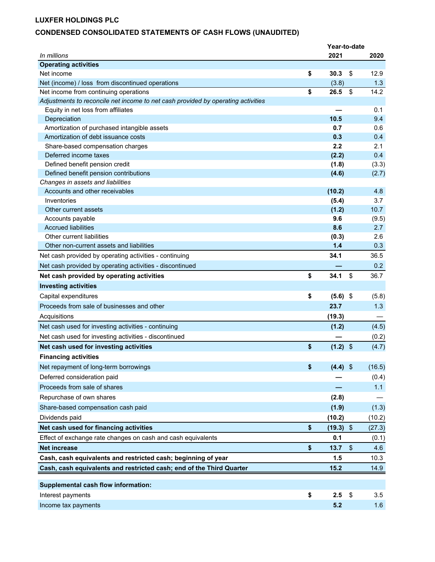# **CONDENSED CONSOLIDATED STATEMENTS OF CASH FLOWS (UNAUDITED)**

|                                                                                  | Year-to-date      |               |        |
|----------------------------------------------------------------------------------|-------------------|---------------|--------|
| In millions                                                                      | 2021              |               | 2020   |
| <b>Operating activities</b>                                                      |                   |               |        |
| Net income                                                                       | \$<br>30.3        | \$            | 12.9   |
| Net (income) / loss from discontinued operations                                 | (3.8)             |               | 1.3    |
| Net income from continuing operations                                            | \$<br>26.5        | \$            | 14.2   |
| Adjustments to reconcile net income to net cash provided by operating activities |                   |               |        |
| Equity in net loss from affiliates                                               |                   |               | 0.1    |
| Depreciation                                                                     | 10.5              |               | 9.4    |
| Amortization of purchased intangible assets                                      | 0.7               |               | 0.6    |
| Amortization of debt issuance costs                                              | 0.3               |               | 0.4    |
| Share-based compensation charges                                                 | 2.2               |               | 2.1    |
| Deferred income taxes                                                            | (2.2)             |               | 0.4    |
| Defined benefit pension credit                                                   | (1.8)             |               | (3.3)  |
| Defined benefit pension contributions                                            | (4.6)             |               | (2.7)  |
| Changes in assets and liabilities                                                |                   |               |        |
| Accounts and other receivables                                                   | (10.2)            |               | 4.8    |
| Inventories                                                                      | (5.4)             |               | 3.7    |
| Other current assets                                                             | (1.2)             |               | 10.7   |
| Accounts payable                                                                 | 9.6               |               | (9.5)  |
| <b>Accrued liabilities</b>                                                       | 8.6               |               | 2.7    |
| Other current liabilities                                                        | (0.3)             |               | 2.6    |
| Other non-current assets and liabilities                                         | 1.4               |               | 0.3    |
| Net cash provided by operating activities - continuing                           | 34.1              |               | 36.5   |
| Net cash provided by operating activities - discontinued                         |                   |               | 0.2    |
| Net cash provided by operating activities                                        | \$<br>34.1        | \$            | 36.7   |
| <b>Investing activities</b>                                                      |                   |               |        |
| Capital expenditures                                                             | \$<br>$(5.6)$ \$  |               | (5.8)  |
| Proceeds from sale of businesses and other                                       | 23.7              |               | 1.3    |
| Acquisitions                                                                     | (19.3)            |               |        |
| Net cash used for investing activities - continuing                              | (1.2)             |               | (4.5)  |
| Net cash used for investing activities - discontinued                            |                   |               | (0.2)  |
| Net cash used for investing activities                                           | \$<br>$(1.2)$ \$  |               | (4.7)  |
|                                                                                  |                   |               |        |
| <b>Financing activities</b>                                                      |                   |               |        |
| Net repayment of long-term borrowings                                            | \$<br>$(4.4)$ \$  |               | (16.5) |
| Deferred consideration paid                                                      |                   |               | (0.4)  |
| Proceeds from sale of shares                                                     |                   |               | 1.1    |
| Repurchase of own shares                                                         | (2.8)             |               |        |
| Share-based compensation cash paid                                               | (1.9)             |               | (1.3)  |
| Dividends paid                                                                   | (10.2)            |               | (10.2) |
| Net cash used for financing activities                                           | \$<br>$(19.3)$ \$ |               | (27.3) |
| Effect of exchange rate changes on cash and cash equivalents                     | 0.1               |               | (0.1)  |
| <b>Net increase</b>                                                              | \$<br>13.7        | $\frac{1}{2}$ | 4.6    |
| Cash, cash equivalents and restricted cash; beginning of year                    | 1.5               |               | 10.3   |
|                                                                                  |                   |               |        |
| Cash, cash equivalents and restricted cash; end of the Third Quarter             | 15.2              |               | 14.9   |
| <b>Supplemental cash flow information:</b>                                       |                   |               |        |
| Interest payments                                                                | \$<br>2.5         | \$            | 3.5    |
| Income tax payments                                                              | 5.2               |               | 1.6    |
|                                                                                  |                   |               |        |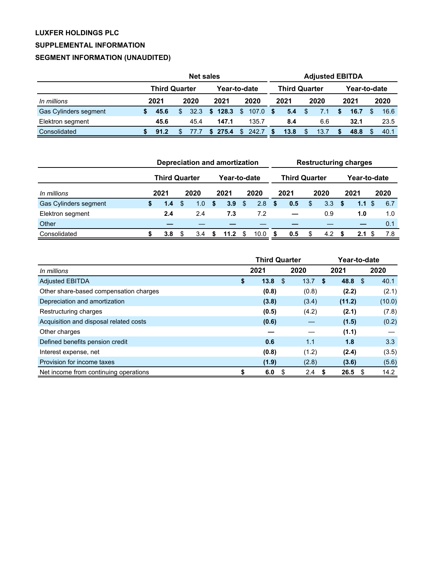# **SUPPLEMENTAL INFORMATION**

# **SEGMENT INFORMATION (UNAUDITED)**

|                       | <b>Net sales</b> |                                      |      |  |         |                      | <b>Adjusted EBITDA</b> |    |              |               |      |  |      |  |      |  |  |
|-----------------------|------------------|--------------------------------------|------|--|---------|----------------------|------------------------|----|--------------|---------------|------|--|------|--|------|--|--|
|                       |                  | <b>Third Quarter</b><br>Year-to-date |      |  |         | <b>Third Quarter</b> |                        |    | Year-to-date |               |      |  |      |  |      |  |  |
| In millions           | 2021             |                                      | 2020 |  | 2021    |                      | 2020                   |    | 2021         |               | 2020 |  | 2021 |  | 2020 |  |  |
| Gas Cylinders segment | 45.6             | \$.                                  | 32.3 |  | \$128.3 | \$                   | $107.0$ \$             |    | 5.4          | <sup>\$</sup> | 7.1  |  | 16.7 |  | 16.6 |  |  |
| Elektron segment      | 45.6             |                                      | 45.4 |  | 147.1   |                      | 135.7                  |    | 8.4          |               | 6.6  |  | 32.1 |  | 23.5 |  |  |
| Consolidated          | 91.2             |                                      | 77.7 |  | \$275.4 | S.                   | 242.7                  | S. | 13.8         |               | 13.7 |  | 48.8 |  | 40.1 |  |  |

|                              | Depreciation and amortization        |      |     |      |    |      | <b>Restructuring charges</b> |      |      |              |     |      |    |      |      |      |
|------------------------------|--------------------------------------|------|-----|------|----|------|------------------------------|------|------|--------------|-----|------|----|------|------|------|
|                              | <b>Third Quarter</b><br>Year-to-date |      |     |      |    |      | <b>Third Quarter</b>         |      |      | Year-to-date |     |      |    |      |      |      |
| In millions                  |                                      | 2021 |     | 2020 |    | 2021 |                              | 2020 |      | 2021         |     | 2020 |    | 2021 |      | 2020 |
| <b>Gas Cylinders segment</b> |                                      | 1.4  | \$. | 1.0  | \$ | 3.9  | \$                           | 2.8  | - \$ | 0.5          | \$  | 3.3  | -S | 1.1  | - \$ | 6.7  |
| Elektron segment             |                                      | 2.4  |     | 2.4  |    | 7.3  |                              | 7.2  |      |              |     | 0.9  |    | 1.0  |      | 1.0  |
| Other                        |                                      |      |     |      |    |      |                              |      |      |              |     |      |    |      |      | 0.1  |
| Consolidated                 |                                      | 3.8  |     | 3.4  |    | 11.2 | S                            | 10.0 |      | 0.5          | \$. | 4.2  |    | 2.1  |      | 7.8  |

|                                        | <b>Third Quarter</b> | Year-to-date |       |    |             |        |  |
|----------------------------------------|----------------------|--------------|-------|----|-------------|--------|--|
| In millions                            | 2021                 |              | 2020  |    | 2021        | 2020   |  |
| <b>Adjusted EBITDA</b>                 | \$<br>13.8           | -\$          | 13.7  | \$ | 48.8<br>-\$ | 40.1   |  |
| Other share-based compensation charges | (0.8)                |              | (0.8) |    | (2.2)       | (2.1)  |  |
| Depreciation and amortization          | (3.8)                |              | (3.4) |    | (11.2)      | (10.0) |  |
| Restructuring charges                  | (0.5)                |              | (4.2) |    | (2.1)       | (7.8)  |  |
| Acquisition and disposal related costs | (0.6)                |              |       |    | (1.5)       | (0.2)  |  |
| Other charges                          |                      |              |       |    | (1.1)       |        |  |
| Defined benefits pension credit        | 0.6                  |              | 1.1   |    | 1.8         | 3.3    |  |
| Interest expense, net                  | (0.8)                |              | (1.2) |    | (2.4)       | (3.5)  |  |
| Provision for income taxes             | (1.9)                |              | (2.8) |    | (3.6)       | (5.6)  |  |
| Net income from continuing operations  | \$<br>6.0            | S.           | 2.4   |    | 26.5<br>-\$ | 14.2   |  |